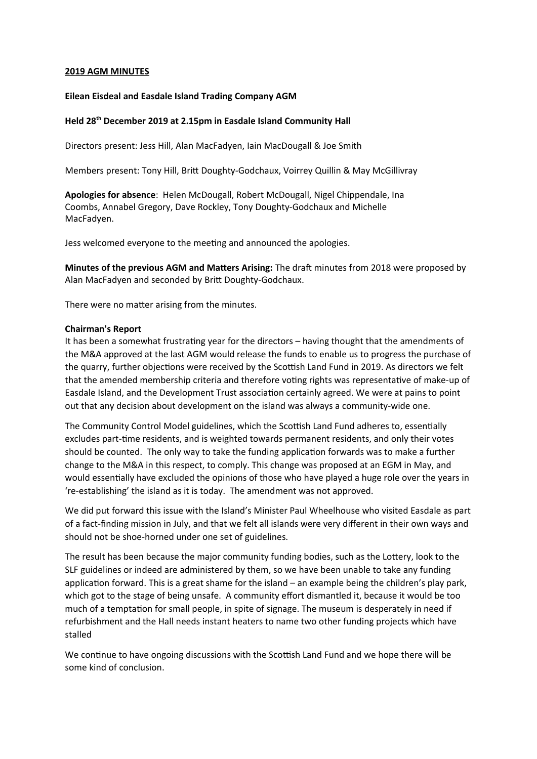# **2019 AGM MINUTES**

## **Eilean Eisdeal and Easdale Island Trading Company AGM**

# **Held 28th December 2019 at 2.15pm in Easdale Island Community Hall**

Directors present: Jess Hill, Alan MacFadyen, Iain MacDougall & Joe Smith

Members present: Tony Hill, Brit Doughty-Godchaux, Voirrey Quillin & May McGillivray

**Apologies for absence**: Helen McDougall, Robert McDougall, Nigel Chippendale, Ina Coombs, Annabel Gregory, Dave Rockley, Tony Doughty-Godchaux and Michelle MacFadyen.

Jess welcomed everyone to the meeting and announced the apologies.

**Minutes of the previous AGM and Matters Arising:** The draft minutes from 2018 were proposed by Alan MacFadyen and seconded by Brit Doughty-Godchaux.

There were no matter arising from the minutes.

### **Chairman's Report**

It has been a somewhat frustrating year for the directors – having thought that the amendments of the M&A approved at the last AGM would release the funds to enable us to progress the purchase of the quarry, further objections were received by the Scottish Land Fund in 2019. As directors we felt that the amended membership criteria and therefore voting rights was representative of make-up of Easdale Island, and the Development Trust associaton certainly agreed. We were at pains to point out that any decision about development on the island was always a community-wide one.

The Community Control Model guidelines, which the Scottish Land Fund adheres to, essentially excludes part-tme residents, and is weighted towards permanent residents, and only their votes should be counted. The only way to take the funding application forwards was to make a further change to the M&A in this respect, to comply. This change was proposed at an EGM in May, and would essentally have excluded the opinions of those who have played a huge role over the years in 're-establishing' the island as it is today. The amendment was not approved.

We did put forward this issue with the Island's Minister Paul Wheelhouse who visited Easdale as part of a fact-fnding mission in July, and that we felt all islands were very diferent in their own ways and should not be shoe-horned under one set of guidelines.

The result has been because the major community funding bodies, such as the Lottery, look to the SLF guidelines or indeed are administered by them, so we have been unable to take any funding application forward. This is a great shame for the island – an example being the children's play park, which got to the stage of being unsafe. A community effort dismantled it, because it would be too much of a temptation for small people, in spite of signage. The museum is desperately in need if refurbishment and the Hall needs instant heaters to name two other funding projects which have stalled

We continue to have ongoing discussions with the Scottish Land Fund and we hope there will be some kind of conclusion.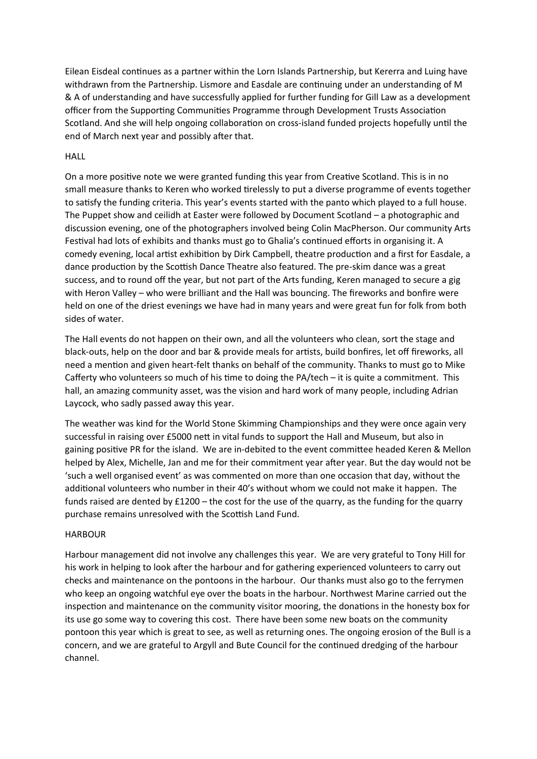Eilean Eisdeal continues as a partner within the Lorn Islands Partnership, but Kererra and Luing have withdrawn from the Partnership. Lismore and Easdale are continuing under an understanding of M & A of understanding and have successfully applied for further funding for Gill Law as a development officer from the Supporting Communities Programme through Development Trusts Association Scotland. And she will help ongoing collaboration on cross-island funded projects hopefully until the end of March next year and possibly after that.

## **HALL**

On a more positve note we were granted funding this year from Creatve Scotland. This is in no small measure thanks to Keren who worked trelessly to put a diverse programme of events together to satsfy the funding criteria. This year's events started with the panto which played to a full house. The Puppet show and ceilidh at Easter were followed by Document Scotland – a photographic and discussion evening, one of the photographers involved being Colin MacPherson. Our community Arts Festival had lots of exhibits and thanks must go to Ghalia's continued efforts in organising it. A comedy evening, local artist exhibition by Dirk Campbell, theatre production and a first for Easdale, a dance production by the Scottish Dance Theatre also featured. The pre-skim dance was a great success, and to round off the year, but not part of the Arts funding, Keren managed to secure a gig with Heron Valley – who were brilliant and the Hall was bouncing. The freworks and bonfre were held on one of the driest evenings we have had in many years and were great fun for folk from both sides of water.

The Hall events do not happen on their own, and all the volunteers who clean, sort the stage and black-outs, help on the door and bar & provide meals for artists, build bonfires, let off fireworks, all need a mention and given heart-felt thanks on behalf of the community. Thanks to must go to Mike Caferty who volunteers so much of his tme to doing the PA/tech – it is quite a commitment. This hall, an amazing community asset, was the vision and hard work of many people, including Adrian Laycock, who sadly passed away this year.

The weather was kind for the World Stone Skimming Championships and they were once again very successful in raising over £5000 nett in vital funds to support the Hall and Museum, but also in gaining positve PR for the island. We are in-debited to the event commitee headed Keren & Mellon helped by Alex, Michelle, Jan and me for their commitment year afer year. But the day would not be 'such a well organised event' as was commented on more than one occasion that day, without the additional volunteers who number in their 40's without whom we could not make it happen. The funds raised are dented by  $£1200 -$  the cost for the use of the quarry, as the funding for the quarry purchase remains unresolved with the Scottish Land Fund.

### HARBOUR

Harbour management did not involve any challenges this year. We are very grateful to Tony Hill for his work in helping to look after the harbour and for gathering experienced volunteers to carry out checks and maintenance on the pontoons in the harbour. Our thanks must also go to the ferrymen who keep an ongoing watchful eye over the boats in the harbour. Northwest Marine carried out the inspection and maintenance on the community visitor mooring, the donations in the honesty box for its use go some way to covering this cost. There have been some new boats on the community pontoon this year which is great to see, as well as returning ones. The ongoing erosion of the Bull is a concern, and we are grateful to Argyll and Bute Council for the continued dredging of the harbour channel.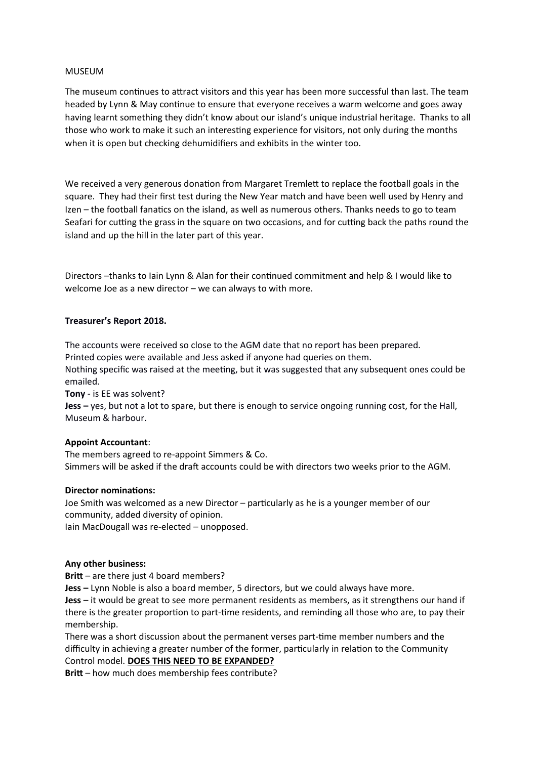# MUSEUM

The museum continues to attract visitors and this year has been more successful than last. The team headed by Lynn & May continue to ensure that everyone receives a warm welcome and goes away having learnt something they didn't know about our island's unique industrial heritage. Thanks to all those who work to make it such an interestng experience for visitors, not only during the months when it is open but checking dehumidifers and exhibits in the winter too.

We received a very generous donation from Margaret Tremlett to replace the football goals in the square. They had their frst test during the New Year match and have been well used by Henry and Izen – the football fanatics on the island, as well as numerous others. Thanks needs to go to team Seafari for cutting the grass in the square on two occasions, and for cutting back the paths round the island and up the hill in the later part of this year.

Directors -thanks to Iain Lynn & Alan for their continued commitment and help & I would like to welcome Joe as a new director – we can always to with more.

### **Treasurer's Report 2018.**

The accounts were received so close to the AGM date that no report has been prepared. Printed copies were available and Jess asked if anyone had queries on them. Nothing specific was raised at the meeting, but it was suggested that any subsequent ones could be

emailed.

**Tony** - is EE was solvent?

**Jess –** yes, but not a lot to spare, but there is enough to service ongoing running cost, for the Hall, Museum & harbour.

### **Appoint Accountant**:

The members agreed to re-appoint Simmers & Co. Simmers will be asked if the draft accounts could be with directors two weeks prior to the AGM.

### **Director nominations:**

Joe Smith was welcomed as a new Director – partcularly as he is a younger member of our community, added diversity of opinion.

Iain MacDougall was re-elected – unopposed.

### **Any other business:**

**Britt** – are there just 4 board members?

**Jess –** hynn Noble is also a board member, 5 directors, but we could always have more.

**Jess** – it would be great to see more permanent residents as members, as it strengthens our hand if there is the greater proporton to part-tme residents, and reminding all those who are, to pay their membership.

There was a short discussion about the permanent verses part-tme member numbers and the difficulty in achieving a greater number of the former, partcularly in relaton to the Community Control model. **DOES THIS NEED TO BE EXPANDED?**

**Brit** – how much does membership fees contribute?